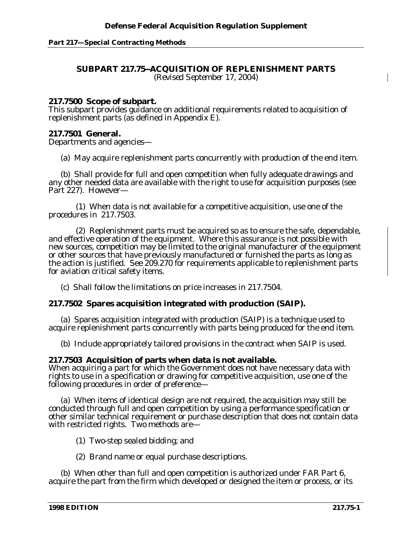#### **Part 217—Special Contracting Methods**

## **SUBPART 217.75--ACQUISITION OF REPLENISHMENT PARTS**

*(Revised September 17, 2004)*

## **217.7500 Scope of subpart.**

This subpart provides guidance on additional requirements related to acquisition of replenishment parts (as defined in Appendix E).

# **217.7501 General.**

Departments and agencies—

(a) May acquire replenishment parts concurrently with production of the end item.

(b) Shall provide for full and open competition when fully adequate drawings and any other needed data are available with the right to use for acquisition purposes (see Part 227). However—

(1) When data is not available for a competitive acquisition, use one of the procedures in 217.7503.

(2) Replenishment parts must be acquired so as to ensure the safe, dependable, and effective operation of the equipment. Where this assurance is not possible with new sources, competition may be limited to the original manufacturer of the equipment or other sources that have previously manufactured or furnished the parts as long as the action is justified. See 209.270 for requirements applicable to replenishment parts for aviation critical safety items.

(c) Shall follow the limitations on price increases in 217.7504.

## **217.7502 Spares acquisition integrated with production (SAIP).**

(a) Spares acquisition integrated with production (SAIP) is a technique used to acquire replenishment parts concurrently with parts being produced for the end item.

(b) Include appropriately tailored provisions in the contract when SAIP is used.

## **217.7503 Acquisition of parts when data is not available.**

When acquiring a part for which the Government does not have necessary data with rights to use in a specification or drawing for competitive acquisition, use one of the following procedures in order of preference—

(a) When items of identical design are not required, the acquisition may still be conducted through full and open competition by using a performance specification or other similar technical requirement or purchase description that does not contain data with restricted rights. Two methods are—

- (1) Two-step sealed bidding; and
- (2) Brand name or equal purchase descriptions.

(b) When other than full and open competition is authorized under FAR Part 6, acquire the part from the firm which developed or designed the item or process, or its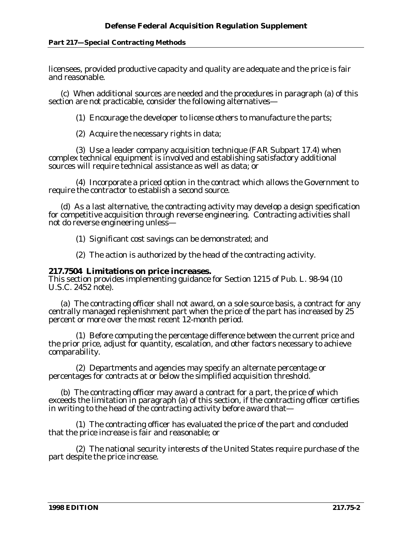### **Part 217—Special Contracting Methods**

licensees, provided productive capacity and quality are adequate and the price is fair and reasonable.

(c) When additional sources are needed and the procedures in paragraph (a) of this section are not practicable, consider the following alternatives—

(1) Encourage the developer to license others to manufacture the parts;

(2) Acquire the necessary rights in data;

(3) Use a leader company acquisition technique (FAR Subpart 17.4) when complex technical equipment is involved and establishing satisfactory additional sources will require technical assistance as well as data; or

(4) Incorporate a priced option in the contract which allows the Government to require the contractor to establish a second source.

(d) As a last alternative, the contracting activity may develop a design specification for competitive acquisition through reverse engineering. Contracting activities shall not do reverse engineering unless—

(1) Significant cost savings can be demonstrated; and

(2) The action is authorized by the head of the contracting activity.

## **217.7504 Limitations on price increases.**

This section provides implementing guidance for Section 1215 of Pub. L. 98-94 (10 U.S.C. 2452 note).

(a) The contracting officer shall not award, on a sole source basis, a contract for any centrally managed replenishment part when the price of the part has increased by 25 percent or more over the most recent 12-month period.

(1) Before computing the percentage difference between the current price and the prior price, adjust for quantity, escalation, and other factors necessary to achieve comparability.

(2) Departments and agencies may specify an alternate percentage or percentages for contracts at or below the simplified acquisition threshold.

(b) The contracting officer may award a contract for a part, the price of which exceeds the limitation in paragraph (a) of this section, if the contracting officer certifies in writing to the head of the contracting activity before award that—

(1) The contracting officer has evaluated the price of the part and concluded that the price increase is fair and reasonable; or

(2) The national security interests of the United States require purchase of the part despite the price increase.